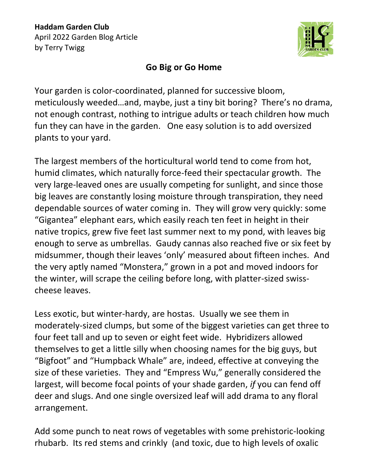

## **Go Big or Go Home**

Your garden is color-coordinated, planned for successive bloom, meticulously weeded…and, maybe, just a tiny bit boring? There's no drama, not enough contrast, nothing to intrigue adults or teach children how much fun they can have in the garden. One easy solution is to add oversized plants to your yard.

The largest members of the horticultural world tend to come from hot, humid climates, which naturally force-feed their spectacular growth. The very large-leaved ones are usually competing for sunlight, and since those big leaves are constantly losing moisture through transpiration, they need dependable sources of water coming in. They will grow very quickly: some "Gigantea" elephant ears, which easily reach ten feet in height in their native tropics, grew five feet last summer next to my pond, with leaves big enough to serve as umbrellas. Gaudy cannas also reached five or six feet by midsummer, though their leaves 'only' measured about fifteen inches. And the very aptly named "Monstera," grown in a pot and moved indoors for the winter, will scrape the ceiling before long, with platter-sized swisscheese leaves.

Less exotic, but winter-hardy, are hostas. Usually we see them in moderately-sized clumps, but some of the biggest varieties can get three to four feet tall and up to seven or eight feet wide. Hybridizers allowed themselves to get a little silly when choosing names for the big guys, but "Bigfoot" and "Humpback Whale" are, indeed, effective at conveying the size of these varieties. They and "Empress Wu," generally considered the largest, will become focal points of your shade garden, *if* you can fend off deer and slugs. And one single oversized leaf will add drama to any floral arrangement.

Add some punch to neat rows of vegetables with some prehistoric-looking rhubarb. Its red stems and crinkly (and toxic, due to high levels of oxalic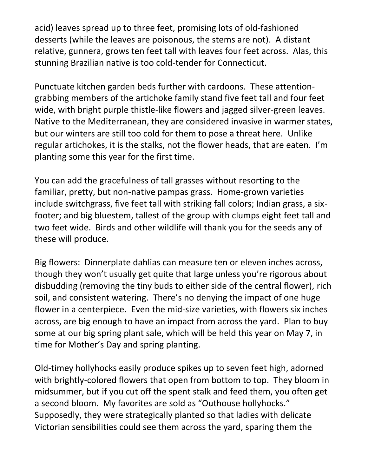acid) leaves spread up to three feet, promising lots of old-fashioned desserts (while the leaves are poisonous, the stems are not). A distant relative, gunnera, grows ten feet tall with leaves four feet across. Alas, this stunning Brazilian native is too cold-tender for Connecticut.

Punctuate kitchen garden beds further with cardoons. These attentiongrabbing members of the artichoke family stand five feet tall and four feet wide, with bright purple thistle-like flowers and jagged silver-green leaves. Native to the Mediterranean, they are considered invasive in warmer states, but our winters are still too cold for them to pose a threat here. Unlike regular artichokes, it is the stalks, not the flower heads, that are eaten. I'm planting some this year for the first time.

You can add the gracefulness of tall grasses without resorting to the familiar, pretty, but non-native pampas grass. Home-grown varieties include switchgrass, five feet tall with striking fall colors; Indian grass, a sixfooter; and big bluestem, tallest of the group with clumps eight feet tall and two feet wide. Birds and other wildlife will thank you for the seeds any of these will produce.

Big flowers: Dinnerplate dahlias can measure ten or eleven inches across, though they won't usually get quite that large unless you're rigorous about disbudding (removing the tiny buds to either side of the central flower), rich soil, and consistent watering. There's no denying the impact of one huge flower in a centerpiece. Even the mid-size varieties, with flowers six inches across, are big enough to have an impact from across the yard. Plan to buy some at our big spring plant sale, which will be held this year on May 7, in time for Mother's Day and spring planting.

Old-timey hollyhocks easily produce spikes up to seven feet high, adorned with brightly-colored flowers that open from bottom to top. They bloom in midsummer, but if you cut off the spent stalk and feed them, you often get a second bloom. My favorites are sold as "Outhouse hollyhocks." Supposedly, they were strategically planted so that ladies with delicate Victorian sensibilities could see them across the yard, sparing them the